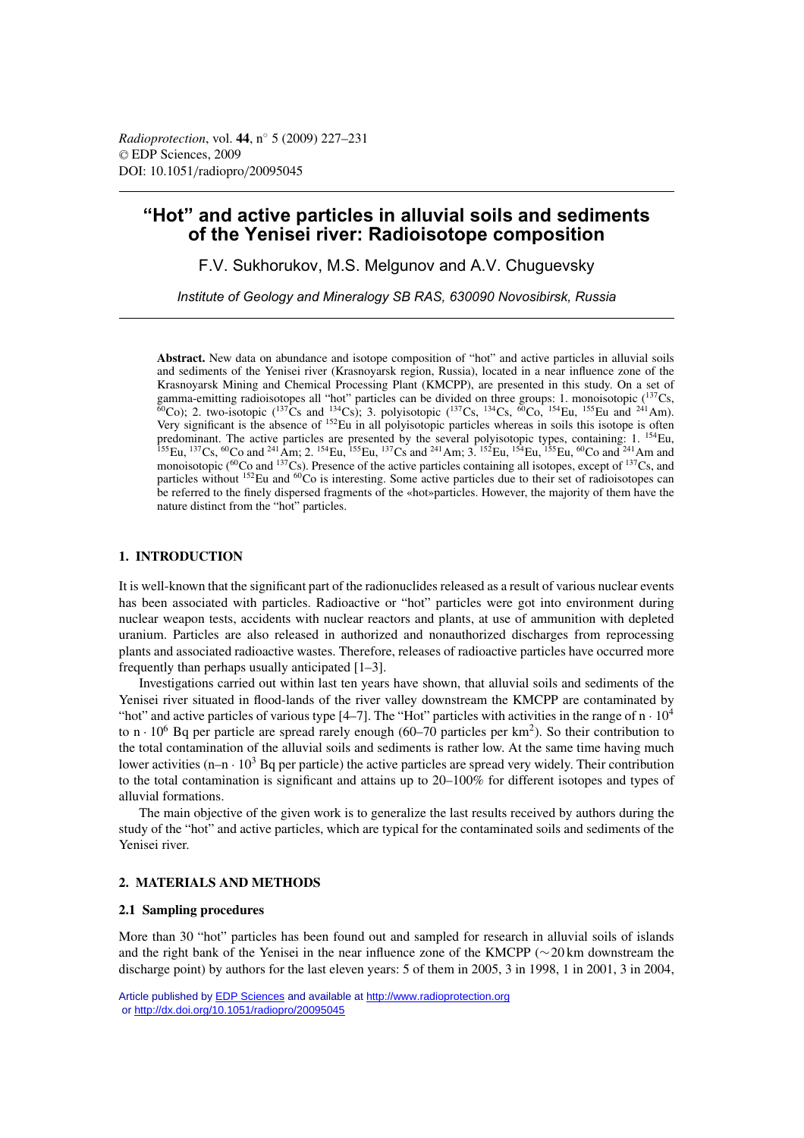# **"Hot" and active particles in alluvial soils and sediments of the Yenisei river: Radioisotope composition**

F.V. Sukhorukov, M.S. Melgunov and A.V. Chuguevsky

*Institute of Geology and Mineralogy SB RAS, 630090 Novosibirsk, Russia*

**Abstract.** New data on abundance and isotope composition of "hot" and active particles in alluvial soils and sediments of the Yenisei river (Krasnoyarsk region, Russia), located in a near influence zone of the Krasnoyarsk Mining and Chemical Processing Plant (KMCPP), are presented in this study. On a set of gamma-emitting radioisotopes all "hot" particles can be divided on three groups: 1. monoisotopic  $(^{137}Cs$ ,  $^{60}$ Co); 2. two-isotopic ( $^{137}$ Cs and  $^{134}$ Cs); 3. polyisotopic ( $^{137}$ Cs,  $^{134}$ Cs,  $^{60}$ Co,  $^{154}$ Eu,  $^{155}$ Eu and  $^{241}$ Am). Very significant is the absence of <sup>152</sup>Eu in all polyisotopic particles whereas in soils this isotope is often predominant. The active particles are presented by the several polyisotopic types, containing: 1. <sup>154</sup>Eu,  $^{155}$ Eu,  $^{137}$ Cs,  $^{60}$ Co and  $^{241}$ Am; 2.  $^{154}$ Eu,  $^{155}$ Eu,  $^{137}$ Cs and  $^{241}$ Am; 3.  $^{152}$ Eu,  $^{154}$ Eu,  $^{155}$ Eu,  $^{60}$ Co and  $^{241}$ Am and monoisotopic (<sup>60</sup>Co and <sup>137</sup>Cs). Presence of the active particles containing all isotopes, except of <sup>137</sup>Cs, and particles without <sup>152</sup>Eu and <sup>60</sup>Co is interesting. Some active particles due to their set of radioisotopes can be referred to the finely dispersed fragments of the «hot»particles. However, the majority of them have the nature distinct from the "hot" particles.

# **1. INTRODUCTION**

It is well-known that the significant part of the radionuclides released as a result of various nuclear events has been associated with particles. Radioactive or "hot" particles were got into environment during nuclear weapon tests, accidents with nuclear reactors and plants, at use of ammunition with depleted uranium. Particles are also released in authorized and nonauthorized discharges from reprocessing plants and associated radioactive wastes. Therefore, releases of radioactive particles have occurred more frequently than perhaps usually anticipated [1–3].

Investigations carried out within last ten years have shown, that alluvial soils and sediments of the Yenisei river situated in flood-lands of the river valley downstream the KMCPP are contaminated by "hot" and active particles of various type  $[4-7]$ . The "Hot" particles with activities in the range of  $n \cdot 10^4$ to  $n \cdot 10^6$  Bq per particle are spread rarely enough (60–70 particles per km<sup>2</sup>). So their contribution to the total contamination of the alluvial soils and sediments is rather low. At the same time having much lower activities  $(n-n \cdot 10^3$  Bq per particle) the active particles are spread very widely. Their contribution to the total contamination is significant and attains up to 20–100% for different isotopes and types of alluvial formations.

The main objective of the given work is to generalize the last results received by authors during the study of the "hot" and active particles, which are typical for the contaminated soils and sediments of the Yenisei river.

### **2. MATERIALS AND METHODS**

#### **2.1 Sampling procedures**

More than 30 "hot" particles has been found out and sampled for research in alluvial soils of islands and the right bank of the Yenisei in the near influence zone of the KMCPP (∼20 km downstream the discharge point) by authors for the last eleven years: 5 of them in 2005, 3 in 1998, 1 in 2001, 3 in 2004,

Article published by [EDP Sciences](http://www.edpsciences.org) and available at<http://www.radioprotection.org> or <http://dx.doi.org/10.1051/radiopro/20095045>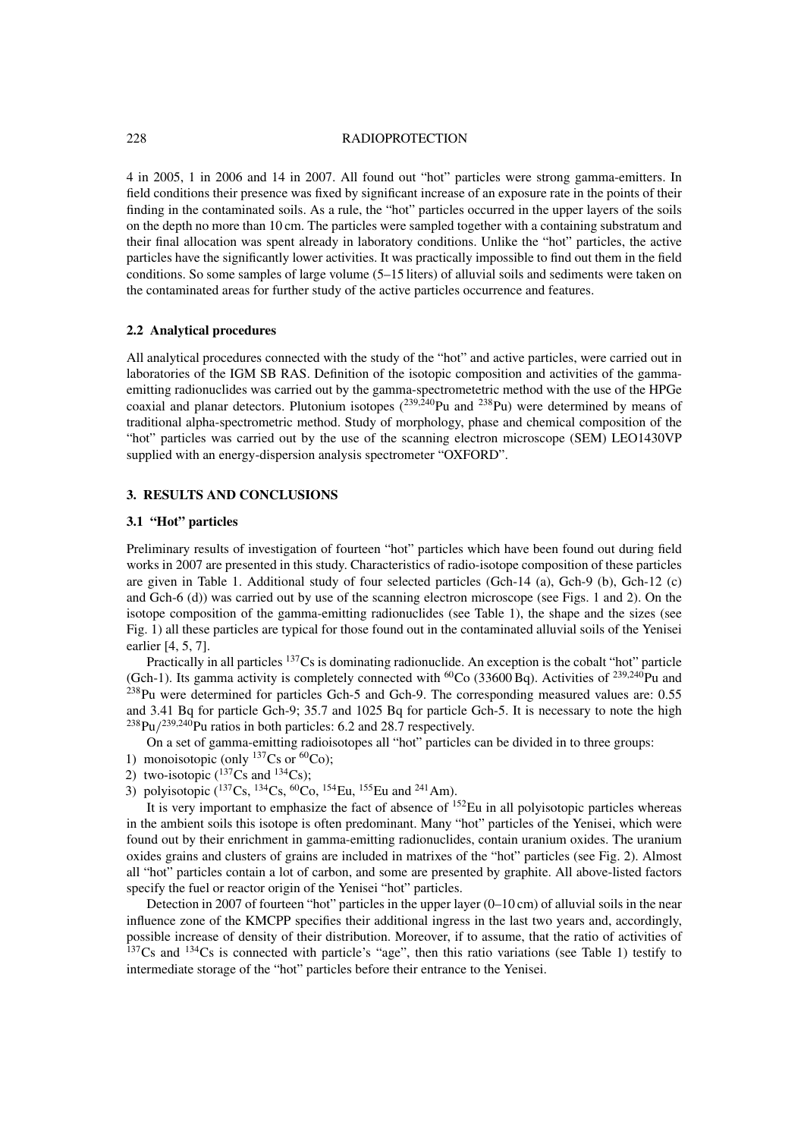#### 228 RADIOPROTECTION

4 in 2005, 1 in 2006 and 14 in 2007. All found out "hot" particles were strong gamma-emitters. In field conditions their presence was fixed by significant increase of an exposure rate in the points of their finding in the contaminated soils. As a rule, the "hot" particles occurred in the upper layers of the soils on the depth no more than 10 cm. The particles were sampled together with a containing substratum and their final allocation was spent already in laboratory conditions. Unlike the "hot" particles, the active particles have the significantly lower activities. It was practically impossible to find out them in the field conditions. So some samples of large volume (5–15 liters) of alluvial soils and sediments were taken on the contaminated areas for further study of the active particles occurrence and features.

## **2.2 Analytical procedures**

All analytical procedures connected with the study of the "hot" and active particles, were carried out in laboratories of the IGM SB RAS. Definition of the isotopic composition and activities of the gammaemitting radionuclides was carried out by the gamma-spectrometetric method with the use of the HPGe coaxial and planar detectors. Plutonium isotopes  $(^{239,240}$ Pu and  $^{238}$ Pu) were determined by means of traditional alpha-spectrometric method. Study of morphology, phase and chemical composition of the "hot" particles was carried out by the use of the scanning electron microscope (SEM) LEO1430VP supplied with an energy-dispersion analysis spectrometer "OXFORD".

#### **3. RESULTS AND CONCLUSIONS**

## **3.1 "Hot" particles**

Preliminary results of investigation of fourteen "hot" particles which have been found out during field works in 2007 are presented in this study. Characteristics of radio-isotope composition of these particles are given in Table 1. Additional study of four selected particles (Gch-14 (a), Gch-9 (b), Gch-12 (c) and Gch-6 (d)) was carried out by use of the scanning electron microscope (see Figs. 1 and 2). On the isotope composition of the gamma-emitting radionuclides (see Table 1), the shape and the sizes (see Fig. 1) all these particles are typical for those found out in the contaminated alluvial soils of the Yenisei earlier [4, 5, 7].

Practically in all particles 137Cs is dominating radionuclide. An exception is the cobalt "hot" particle (Gch-1). Its gamma activity is completely connected with <sup>60</sup>Co (33600 Bq). Activities of <sup>239,240</sup>Pu and <sup>238</sup>Pu were determined for particles Gch-5 and Gch-9. The corresponding measured values are: 0.55 and 3.41 Bq for particle Gch-9; 35.7 and 1025 Bq for particle Gch-5. It is necessary to note the high  $^{238}$ Pu/<sup>239,240</sup>Pu ratios in both particles: 6.2 and 28.7 respectively.

On a set of gamma-emitting radioisotopes all "hot" particles can be divided in to three groups:

- 1) monoisotopic (only  $^{137}Cs$  or  $^{60}Co$ );
- 2) two-isotopic  $(^{137}Cs$  and  $^{134}Cs$ );
- 3) polyisotopic  $({}^{137}Cs, {}^{134}Cs, {}^{60}Co, {}^{154}Eu, {}^{155}Eu$  and  $^{241}Am$ ).

It is very important to emphasize the fact of absence of  $^{152}$ Eu in all polyisotopic particles whereas in the ambient soils this isotope is often predominant. Many "hot" particles of the Yenisei, which were found out by their enrichment in gamma-emitting radionuclides, contain uranium oxides. The uranium oxides grains and clusters of grains are included in matrixes of the "hot" particles (see Fig. 2). Almost all "hot" particles contain a lot of carbon, and some are presented by graphite. All above-listed factors specify the fuel or reactor origin of the Yenisei "hot" particles.

Detection in 2007 of fourteen "hot" particles in the upper layer (0–10 cm) of alluvial soils in the near influence zone of the KMCPP specifies their additional ingress in the last two years and, accordingly, possible increase of density of their distribution. Moreover, if to assume, that the ratio of activities of  $137Cs$  and  $134Cs$  is connected with particle's "age", then this ratio variations (see Table 1) testify to intermediate storage of the "hot" particles before their entrance to the Yenisei.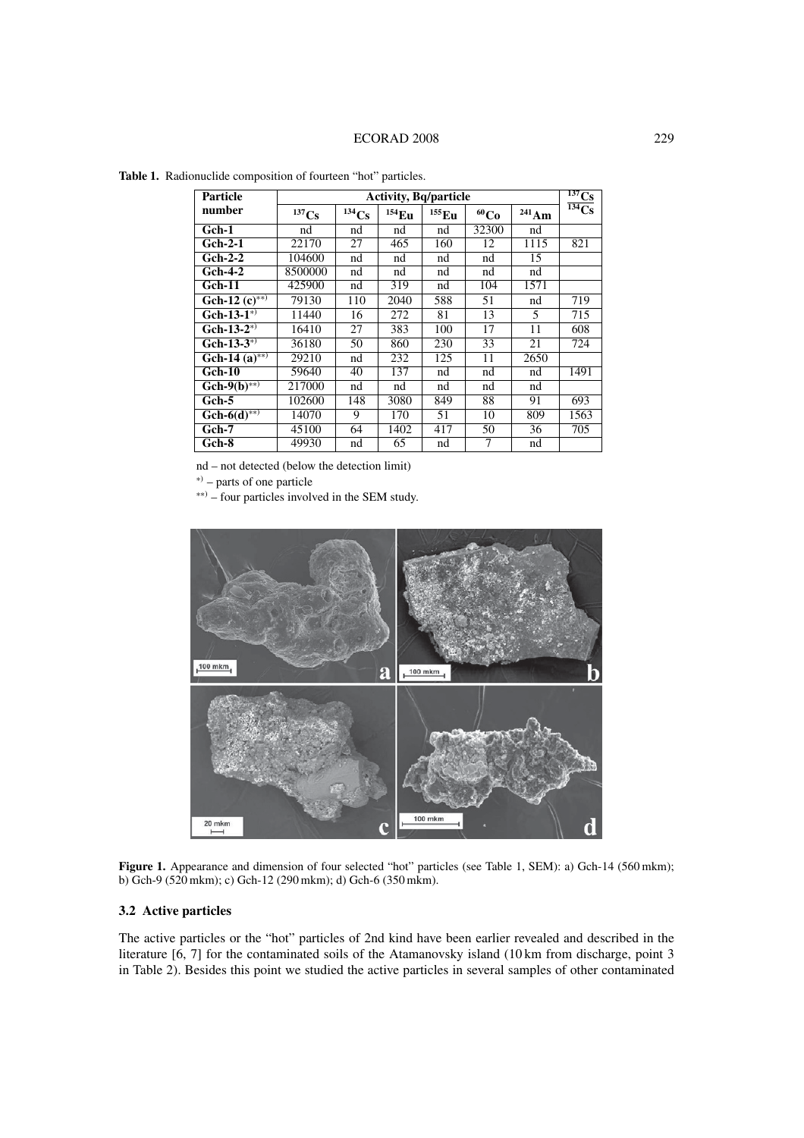| Particle                         | <b>Activity, Bq/particle</b> |                     |          |                     |                  |                     | 137Cs                 |
|----------------------------------|------------------------------|---------------------|----------|---------------------|------------------|---------------------|-----------------------|
| number                           | $137$ Cs                     | $^{134}\mathrm{Cs}$ | $154$ Eu | $^{155}\mathrm{Eu}$ | 60C <sub>0</sub> | $^{241}\mathrm{Am}$ | $\overline{^{134}Cs}$ |
| Gch-1                            | nd                           | nd                  | nd       | nd                  | 32300            | nd                  |                       |
| Gch-2-1                          | 22170                        | $\overline{27}$     | 465      | 160                 | 12               | 1115                | 821                   |
| $Gch-2-2$                        | 104600                       | nd                  | nd       | nd                  | nd               | 15                  |                       |
| <b>Gch-4-2</b>                   | 8500000                      | nd                  | nd       | nd                  | nd               | nd                  |                       |
| Gch-11                           | 425900                       | nd                  | 319      | nd                  | 104              | 1571                |                       |
| Gch-12 $(c)$ **)                 | 79130                        | 110                 | 2040     | 588                 | 51               | nd                  | 719                   |
| $\overline{\text{Gch-13-1}^{*}}$ | 11440                        | 16                  | 272      | 81                  | 13               | 5                   | 715                   |
| $Gch-13-2^{(*)}$                 | 16410                        | 27                  | 383      | 100                 | 17               | 11                  | 608                   |
| Gch-13- $3^{(*)}$                | 36180                        | 50                  | 860      | 230                 | 33               | 21                  | 724                   |
| Gch-14 $(a)$ **)                 | 29210                        | nd                  | 232      | 125                 | 11               | 2650                |                       |
| Gch-10                           | 59640                        | 40                  | 137      | nd                  | nd               | nd                  | 1491                  |
| $G\overline{ch-9(b)_{**}}$       | 217000                       | nd                  | nd       | nd                  | nd               | nd                  |                       |
| Gch-5                            | 102600                       | 148                 | 3080     | 849                 | 88               | 91                  | 693                   |
| $G\overline{ch-6(d)^{**}}$       | 14070                        | 9                   | 170      | 51                  | 10               | 809                 | 1563                  |
| $Gch-7$                          | 45100                        | 64                  | 1402     | 417                 | $\overline{50}$  | $\overline{36}$     | 705                   |
| Gch-8                            | 49930                        | nd                  | 65       | nd                  | 7                | nd                  |                       |

**Table 1.** Radionuclide composition of fourteen "hot" particles.

nd – not detected (below the detection limit)

<sup>∗</sup>) – parts of one particle

∗∗) – four particles involved in the SEM study.



Figure 1. Appearance and dimension of four selected "hot" particles (see Table 1, SEM): a) Gch-14 (560 mkm); b) Gch-9 (520 mkm); c) Gch-12 (290 mkm); d) Gch-6 (350 mkm).

# **3.2 Active particles**

The active particles or the "hot" particles of 2nd kind have been earlier revealed and described in the literature [6, 7] for the contaminated soils of the Atamanovsky island (10 km from discharge, point 3 in Table 2). Besides this point we studied the active particles in several samples of other contaminated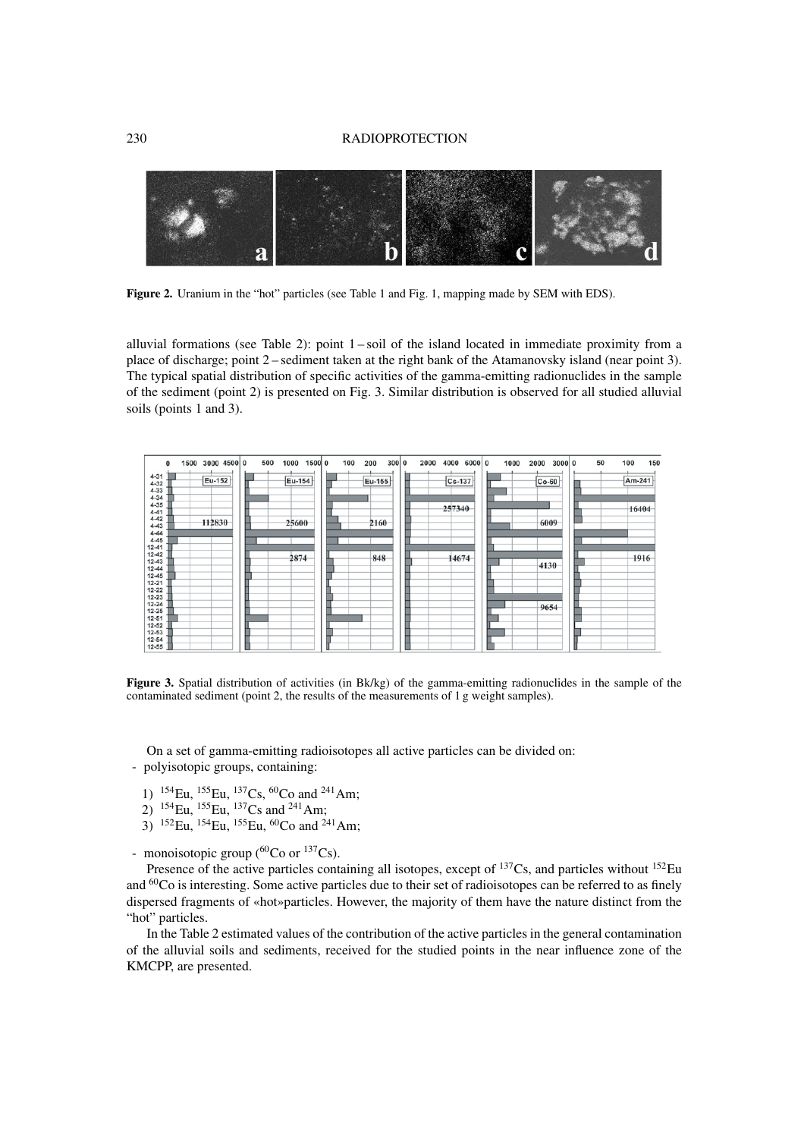#### 230 RADIOPROTECTION



Figure 2. Uranium in the "hot" particles (see Table 1 and Fig. 1, mapping made by SEM with EDS).

alluvial formations (see Table 2): point 1 – soil of the island located in immediate proximity from a place of discharge; point 2 – sediment taken at the right bank of the Atamanovsky island (near point 3). The typical spatial distribution of specific activities of the gamma-emitting radionuclides in the sample of the sediment (point 2) is presented on Fig. 3. Similar distribution is observed for all studied alluvial soils (points 1 and 3).

| 1500 3000 4500 0<br>0<br>$4 - 31$<br>Eu-152<br>$4 - 32$<br>$4 - 33$<br>$4 - 34$<br>$4 - 35$<br>$4 - 41$<br>$4 - 42$<br>112830<br>$4 - 43$<br>$4 - 44$<br>$4 - 45$                  | 500<br>1500 0<br>1000<br>Eu-154<br>25600 | 100<br>300 0<br>2000<br>200<br>Eu-155<br>2160 | 4000<br>6000 0<br>1000<br>$Cs - 137$<br>257340 | 50<br>3000 0<br>2000<br>$Co-60$<br>6009 | 150<br>100<br>Am-241<br>16404 |
|------------------------------------------------------------------------------------------------------------------------------------------------------------------------------------|------------------------------------------|-----------------------------------------------|------------------------------------------------|-----------------------------------------|-------------------------------|
| $12 - 41$<br>$12 - 42$<br>$12 - 43$<br>$12 - 44$<br>$12 - 45$<br>$12 - 21$<br>$12 - 22$<br>$12 - 23$<br>$12 - 24$<br>$12 - 25$<br>$12 - 51$<br>$12 - 52$<br>$12 - 53$<br>$12 - 54$ | 2874                                     | 848                                           | 14674                                          | 4130<br>9654                            | 1916                          |

**Figure 3.** Spatial distribution of activities (in Bk/kg) of the gamma-emitting radionuclides in the sample of the contaminated sediment (point 2, the results of the measurements of 1 g weight samples).

On a set of gamma-emitting radioisotopes all active particles can be divided on: - polyisotopic groups, containing:

- 1)  $^{154}$ Eu,  $^{155}$ Eu,  $^{137}$ Cs,  $^{60}$ Co and  $^{241}$ Am;
- 2)  $^{154}$ Eu,  $^{155}$ Eu,  $^{137}$ Cs and  $^{241}$ Am;
- 3) <sup>152</sup>Eu, <sup>154</sup>Eu, <sup>155</sup>Eu, <sup>60</sup>Co and <sup>241</sup>Am;

- monoisotopic group ( ${}^{60}Co$  or  ${}^{137}Cs$ ).

Presence of the active particles containing all isotopes, except of <sup>137</sup>Cs, and particles without <sup>152</sup>Eu and <sup>60</sup>Co is interesting. Some active particles due to their set of radioisotopes can be referred to as finely dispersed fragments of «hot»particles. However, the majority of them have the nature distinct from the "hot" particles.

In the Table 2 estimated values of the contribution of the active particles in the general contamination of the alluvial soils and sediments, received for the studied points in the near influence zone of the KMCPP, are presented.